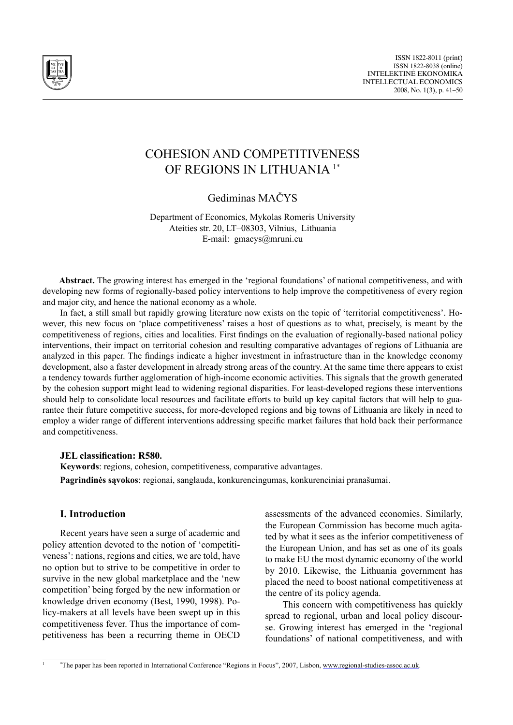

# Cohesion and Competitiveness of Regions in Lithuania 1\*

Gediminas MAČYS

Department of Economics, Mykolas Romeris University Ateities str. 20, LT–08303, Vilnius, Lithuania E-mail: gmacys@mruni.eu

Abstract. The growing interest has emerged in the 'regional foundations' of national competitiveness, and with developing new forms of regionally-based policy interventions to help improve the competitiveness of every region and major city, and hence the national economy as a whole.

In fact, a still small but rapidly growing literature now exists on the topic of 'territorial competitiveness'. However, this new focus on 'place competitiveness' raises a host of questions as to what, precisely, is meant by the competitiveness of regions, cities and localities. First findings on the evaluation of regionally-based national policy interventions, their impact on territorial cohesion and resulting comparative advantages of regions of Lithuania are analyzed in this paper. The findings indicate a higher investment in infrastructure than in the knowledge economy development, also a faster development in already strong areas of the country. At the same time there appears to exist a tendency towards further agglomeration of high-income economic activities. This signals that the growth generated by the cohesion support might lead to widening regional disparities. For least-developed regions these interventions should help to consolidate local resources and facilitate efforts to build up key capital factors that will help to guarantee their future competitive success, for more-developed regions and big towns of Lithuania are likely in need to employ a wider range of different interventions addressing specific market failures that hold back their performance and competitiveness.

## **JEL classification: R580.**

**Keywords**: regions, cohesion, competitiveness, comparative advantages. **Pagrindinės sąvokos**: regionai, sanglauda, konkurencingumas, konkurenciniai pranašumai.

## **I. Introduction**

Recent years have seen a surge of academic and policy attention devoted to the notion of 'competitiveness': nations, regions and cities, we are told, have no option but to strive to be competitive in order to survive in the new global marketplace and the 'new competition' being forged by the new information or knowledge driven economy (Best, 1990, 1998). Policy-makers at all levels have been swept up in this competitiveness fever. Thus the importance of competitiveness has been a recurring theme in OECD

assessments of the advanced economies. Similarly, the European Commission has become much agitated by what it sees as the inferior competitiveness of the European Union, and has set as one of its goals to make EU the most dynamic economy of the world by 2010. Likewise, the Lithuania government has placed the need to boost national competitiveness at the centre of its policy agenda.

This concern with competitiveness has quickly spread to regional, urban and local policy discourse. Growing interest has emerged in the 'regional foundations' of national competitiveness, and with

<sup>&</sup>lt;sup>1</sup> \*The paper has been reported in International Conference "Regions in Focus", 2007, Lisbon, www.regional-studies-assoc.ac.uk.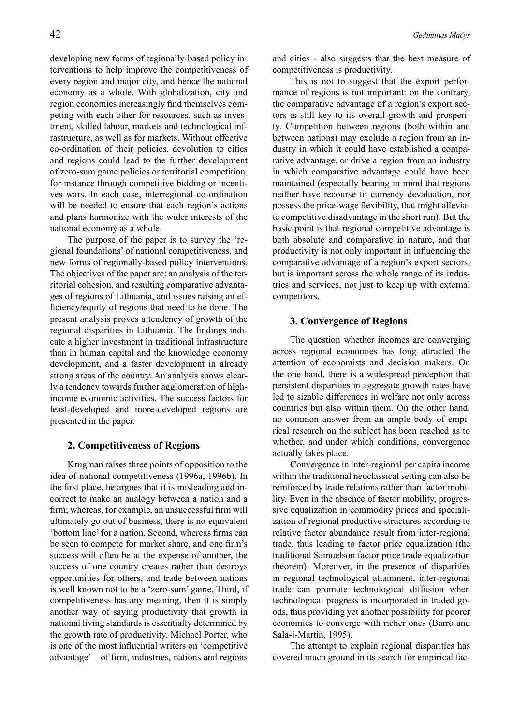developing new forms of regionally-based policy interventions to help improve the competitiveness of every region and major city, and hence the national economy as a whole. With globalization, city and region economies increasingly find themselves competing with each other for resources, such as investment, skilled labour, markets and technological infrastructure, as well as for markets. Without effective co-ordination of their policies, devolution to cities and regions could lead to the further development of zero-sum game policies or territorial competition, for instance through competitive bidding or incentives wars. In each case, interregional co-ordination will be needed to ensure that each region's actions and plans harmonize with the wider interests of the national economy as a whole.

The purpose of the paper is to survey the 'regional foundations' of national competitiveness, and new forms of regionally-based policy interventions. The objectives of the paper are: an analysis of the territorial cohesion, and resulting comparative advantages of regions of Lithuania, and issues raising an efficiency/equity of regions that need to be done. The present analysis proves a tendency of growth of the regional disparities in Lithuania. The findings indicate a higher investment in traditional infrastructure than in human capital and the knowledge economy development, and a faster development in already strong areas of the country. An analysis shows clearly a tendency towards further agglomeration of highincome economic activities. The success factors for least-developed and more-developed regions are presented in the paper.

## **2. Competitiveness of Regions**

Krugman raises three points of opposition to the idea of national competitiveness (1996a, 1996b). In the first place, he argues that it is misleading and incorrect to make an analogy between a nation and a firm; whereas, for example, an unsuccessful firm will ultimately go out of business, there is no equivalent 'bottom line' for a nation. Second, whereas firms can be seen to compete for market share, and one firm's success will often be at the expense of another, the success of one country creates rather than destroys opportunities for others, and trade between nations is well known not to be a 'zero-sum' game. Third, if competitiveness has any meaning, then it is simply another way of saying productivity that growth in national living standards is essentially determined by the growth rate of productivity. Michael Porter, who is one of the most influential writers on 'competitive advantage' – of firm, industries, nations and regions

and cities - also suggests that the best measure of competitiveness is productivity.

This is not to suggest that the export performance of regions is not important: on the contrary, the comparative advantage of a region's export sectors is still key to its overall growth and prosperity. Competition between regions (both within and between nations) may exclude a region from an industry in which it could have established a comparative advantage, or drive a region from an industry in which comparative advantage could have been maintained (especially bearing in mind that regions neither have recourse to currency devaluation, nor possess the price-wage flexibility, that might alleviate competitive disadvantage in the short run). But the basic point is that regional competitive advantage is both absolute and comparative in nature, and that productivity is not only important in influencing the comparative advantage of a region's export sectors, but is important across the whole range of its industries and services, not just to keep up with external competitors.

#### **3. Convergence of Regions**

The question whether incomes are converging across regional economies has long attracted the attention of economists and decision makers. On the one hand, there is a widespread perception that persistent disparities in aggregate growth rates have led to sizable differences in welfare not only across countries but also within them. On the other hand, no common answer from an ample body of empirical research on the subject has been reached as to whether, and under which conditions, convergence actually takes place.

Convergence in inter-regional per capita income within the traditional neoclassical setting can also be reinforced by trade relations rather than factor mobility. Even in the absence of factor mobility, progressive equalization in commodity prices and specialization of regional productive structures according to relative factor abundance result from inter-regional trade, thus leading to factor price equalization (the traditional Samuelson factor price trade equalization theorem). Moreover, in the presence of disparities in regional technological attainment, inter-regional trade can promote technological diffusion when technological progress is incorporated in traded goods, thus providing yet another possibility for poorer economies to converge with richer ones (Barro and Sala-i-Martin, 1995).

The attempt to explain regional disparities has covered much ground in its search for empirical fac-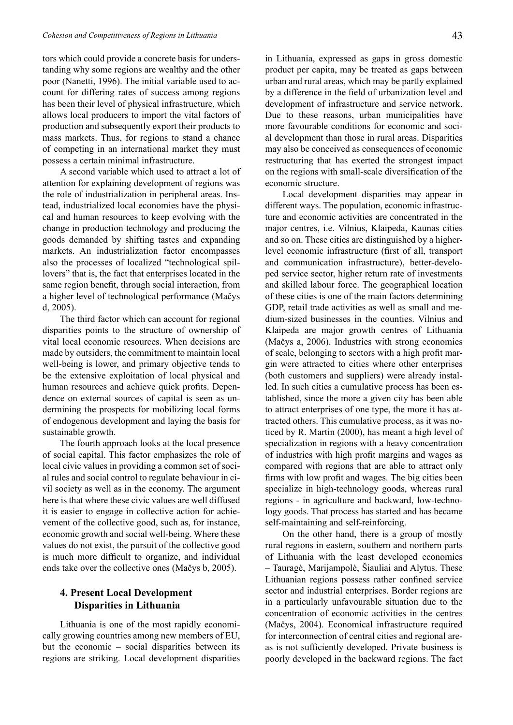tors which could provide a concrete basis for understanding why some regions are wealthy and the other poor (Nanetti, 1996). The initial variable used to account for differing rates of success among regions has been their level of physical infrastructure, which allows local producers to import the vital factors of production and subsequently export their products to mass markets. Thus, for regions to stand a chance of competing in an international market they must possess a certain minimal infrastructure.

A second variable which used to attract a lot of attention for explaining development of regions was the role of industrialization in peripheral areas. Instead, industrialized local economies have the physical and human resources to keep evolving with the change in production technology and producing the goods demanded by shifting tastes and expanding markets. An industrialization factor encompasses also the processes of localized "technological spillovers" that is, the fact that enterprises located in the same region benefit, through social interaction, from a higher level of technological performance (Mačys d, 2005).

The third factor which can account for regional disparities points to the structure of ownership of vital local economic resources. When decisions are made by outsiders, the commitment to maintain local well-being is lower, and primary objective tends to be the extensive exploitation of local physical and human resources and achieve quick profits. Dependence on external sources of capital is seen as undermining the prospects for mobilizing local forms of endogenous development and laying the basis for sustainable growth.

The fourth approach looks at the local presence of social capital. This factor emphasizes the role of local civic values in providing a common set of social rules and social control to regulate behaviour in civil society as well as in the economy. The argument here is that where these civic values are well diffused it is easier to engage in collective action for achievement of the collective good, such as, for instance, economic growth and social well-being. Where these values do not exist, the pursuit of the collective good is much more difficult to organize, and individual ends take over the collective ones (Mačys b, 2005).

## **4. Present Local Development Disparities in Lithuania**

Lithuania is one of the most rapidly economically growing countries among new members of EU, but the economic – social disparities between its regions are striking. Local development disparities in Lithuania, expressed as gaps in gross domestic product per capita, may be treated as gaps between urban and rural areas, which may be partly explained by a difference in the field of urbanization level and development of infrastructure and service network. Due to these reasons, urban municipalities have more favourable conditions for economic and social development than those in rural areas. Disparities may also be conceived as consequences of economic restructuring that has exerted the strongest impact on the regions with small-scale diversification of the economic structure.

Local development disparities may appear in different ways. The population, economic infrastructure and economic activities are concentrated in the major centres, i.e. Vilnius, Klaipeda, Kaunas cities and so on. These cities are distinguished by a higherlevel economic infrastructure (first of all, transport and communication infrastructure), better-developed service sector, higher return rate of investments and skilled labour force. The geographical location of these cities is one of the main factors determining GDP, retail trade activities as well as small and medium-sized businesses in the counties. Vilnius and Klaipeda are major growth centres of Lithuania (Mačys a, 2006). Industries with strong economies of scale, belonging to sectors with a high profit margin were attracted to cities where other enterprises (both customers and suppliers) were already installed. In such cities a cumulative process has been established, since the more a given city has been able to attract enterprises of one type, the more it has attracted others. This cumulative process, as it was noticed by R. Martin (2000), has meant a high level of specialization in regions with a heavy concentration of industries with high profit margins and wages as compared with regions that are able to attract only firms with low profit and wages. The big cities been specialize in high-technology goods, whereas rural regions - in agriculture and backward, low-technology goods. That process has started and has became self-maintaining and self-reinforcing.

On the other hand, there is a group of mostly rural regions in eastern, southern and northern parts of Lithuania with the least developed economies – Tauragė, Marijampolė, Šiauliai and Alytus. These Lithuanian regions possess rather confined service sector and industrial enterprises. Border regions are in a particularly unfavourable situation due to the concentration of economic activities in the centres (Mačys, 2004). Economical infrastructure required for interconnection of central cities and regional areas is not sufficiently developed. Private business is poorly developed in the backward regions. The fact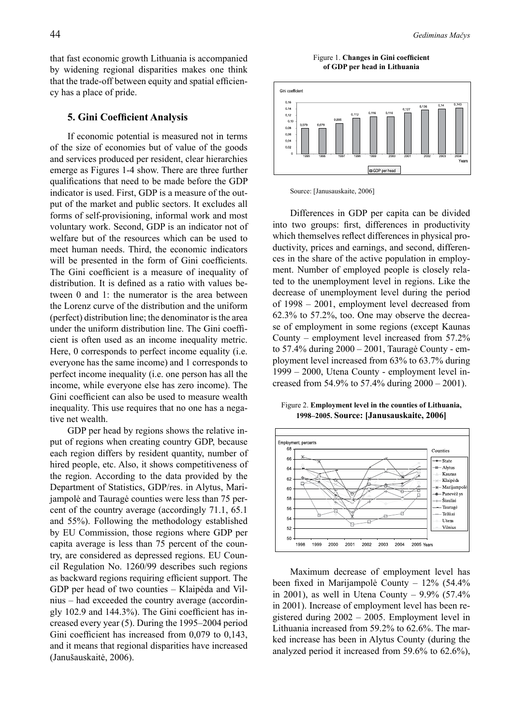that fast economic growth Lithuania is accompanied by widening regional disparities makes one think that the trade-off between equity and spatial efficiency has a place of pride.

## **5. Gini Coefficient Analysis**

If economic potential is measured not in terms of the size of economies but of value of the goods and services produced per resident, clear hierarchies emerge as Figures 1-4 show. There are three further qualifications that need to be made before the GDP indicator is used. First, GDP is a measure of the output of the market and public sectors. It excludes all forms of self-provisioning, informal work and most voluntary work. Second, GDP is an indicator not of welfare but of the resources which can be used to meet human needs. Third, the economic indicators will be presented in the form of Gini coefficients. The Gini coefficient is a measure of inequality of distribution. It is defined as a ratio with values between 0 and 1: the numerator is the area between the Lorenz curve of the distribution and the uniform (perfect) distribution line; the denominator is the area under the uniform distribution line. The Gini coefficient is often used as an income inequality metric. Here, 0 corresponds to perfect income equality (i.e. everyone has the same income) and 1 corresponds to perfect income inequality (i.e. one person has all the income, while everyone else has zero income). The Gini coefficient can also be used to measure wealth inequality. This use requires that no one has a negative net wealth.

GDP per head by regions shows the relative input of regions when creating country GDP, because each region differs by resident quantity, number of hired people, etc. Also, it shows competitiveness of the region. According to the data provided by the Department of Statistics, GDP/res. in Alytus, Marijampolė and Tauragė counties were less than 75 percent of the country average (accordingly 71.1, 65.1 and 55%). Following the methodology established by EU Commission, those regions where GDP per capita average is less than 75 percent of the country, are considered as depressed regions. EU Council Regulation No. 1260/99 describes such regions as backward regions requiring efficient support. The GDP per head of two counties – Klaipėda and Vilnius – had exceeded the country average (accordingly 102.9 and 144.3%). The Gini coefficient has increased every year (5). During the 1995–2004 period Gini coefficient has increased from 0,079 to 0,143, and it means that regional disparities have increased (Janušauskaitė, 2006).

Figure 1. **Changes in Gini coefficient of GDP per head in Lithuania**





Differences in GDP per capita can be divided into two groups: first, differences in productivity which themselves reflect differences in physical productivity, prices and earnings, and second, differences in the share of the active population in employment. Number of employed people is closely related to the unemployment level in regions. Like the decrease of unemployment level during the period of 1998 – 2001, employment level decreased from 62.3% to 57.2%, too. One may observe the decrease of employment in some regions (except Kaunas County – employment level increased from 57.2% to 57.4% during 2000 – 2001, Tauragė County - employment level increased from 63% to 63.7% during 1999 – 2000, Utena County - employment level increased from 54.9% to 57.4% during 2000 – 2001).

Figure 2. **Employment level in the counties of Lithuania, 1998–2005. Source: [Janusauskaite, 2006]**



Maximum decrease of employment level has been fixed in Marijampolė County – 12% (54.4% in 2001), as well in Utena County –  $9.9\%$  (57.4%) in 2001). Increase of employment level has been registered during 2002 – 2005. Employment level in Lithuania increased from 59.2% to 62.6%. The marked increase has been in Alytus County (during the analyzed period it increased from 59.6% to 62.6%),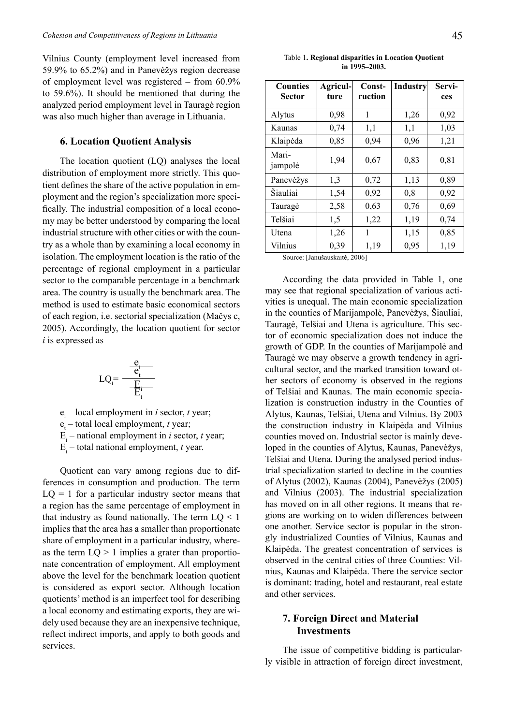Vilnius County (employment level increased from 59.9% to 65.2%) and in Panevėžys region decrease of employment level was registered – from 60.9% to 59.6%). It should be mentioned that during the analyzed period employment level in Tauragė region was also much higher than average in Lithuania.

## **6. Location Quotient Analysis**

The location quotient (LQ) analyses the local distribution of employment more strictly. This quotient defines the share of the active population in employment and the region's specialization more specifically. The industrial composition of a local economy may be better understood by comparing the local industrial structure with other cities or with the country as a whole than by examining a local economy in isolation. The employment location is the ratio of the percentage of regional employment in a particular sector to the comparable percentage in a benchmark area. The country is usually the benchmark area. The method is used to estimate basic economical sectors of each region, i.e. sectorial specialization (Mačys c, 2005). Accordingly, the location quotient for sector *i* is expressed as

$$
LQ_i = \frac{\frac{e_i}{e_t^i}}{\frac{E_i}{E_t^i}}
$$

 $e_i$  – local employment in *i* sector, *t* year;

 $e_t$  – total local employment, *t* year;

 $E_i$  – national employment in *i* sector, *t* year;

 $E_t$  – total national employment, *t* year.

Quotient can vary among regions due to differences in consumption and production. The term  $LQ = 1$  for a particular industry sector means that a region has the same percentage of employment in that industry as found nationally. The term  $LQ < 1$ implies that the area has a smaller than proportionate share of employment in a particular industry, whereas the term  $LQ > 1$  implies a grater than proportionate concentration of employment. All employment above the level for the benchmark location quotient is considered as export sector. Although location quotients' method is an imperfect tool for describing a local economy and estimating exports, they are widely used because they are an inexpensive technique, reflect indirect imports, and apply to both goods and services.

| <b>Counties</b><br><b>Sector</b> | Agricul-<br>ture | Const-<br>ruction | <b>Industry</b> | Servi-<br>ces |
|----------------------------------|------------------|-------------------|-----------------|---------------|
| Alytus                           | 0,98             | 1                 | 1,26            | 0,92          |
| Kaunas                           | 0,74             | 1,1               | 1,1             | 1,03          |
| Klaipėda                         | 0,85             | 0,94              | 0,96            | 1,21          |
| Mari-<br>jampolė                 | 1,94             | 0,67              | 0,83            | 0,81          |
| Panevėžys                        | 1,3              | 0,72              | 1,13            | 0,89          |
| Šiauliai                         | 1,54             | 0,92              | 0,8             | 0,92          |
| Tauragė                          | 2,58             | 0,63              | 0,76            | 0,69          |
| Telšiai                          | 1,5              | 1,22              | 1,19            | 0,74          |
| Utena                            | 1,26             | 1                 | 1,15            | 0,85          |
| Vilnius                          | 0,39             | 1,19              | 0,95            | 1,19          |

Source: [Janušauskaitė, 2006]

According the data provided in Table 1, one may see that regional specialization of various activities is unequal. The main economic specialization in the counties of Marijampolė, Panevėžys, Šiauliai, Tauragė, Telšiai and Utena is agriculture. This sector of economic specialization does not induce the growth of GDP. In the counties of Marijampolė and Tauragė we may observe a growth tendency in agricultural sector, and the marked transition toward other sectors of economy is observed in the regions of Telšiai and Kaunas. The main economic specialization is construction industry in the Counties of Alytus, Kaunas, Telšiai, Utena and Vilnius. By 2003 the construction industry in Klaipėda and Vilnius counties moved on. Industrial sector is mainly developed in the counties of Alytus, Kaunas, Panevėžys, Telšiai and Utena. During the analysed period industrial specialization started to decline in the counties of Alytus (2002), Kaunas (2004), Panevėžys (2005) and Vilnius (2003). The industrial specialization has moved on in all other regions. It means that regions are working on to widen differences between one another. Service sector is popular in the strongly industrialized Counties of Vilnius, Kaunas and Klaipėda. The greatest concentration of services is observed in the central cities of three Counties: Vilnius, Kaunas and Klaipėda. There the service sector is dominant: trading, hotel and restaurant, real estate and other services.

## **7. Foreign Direct and Material Investments**

The issue of competitive bidding is particularly visible in attraction of foreign direct investment,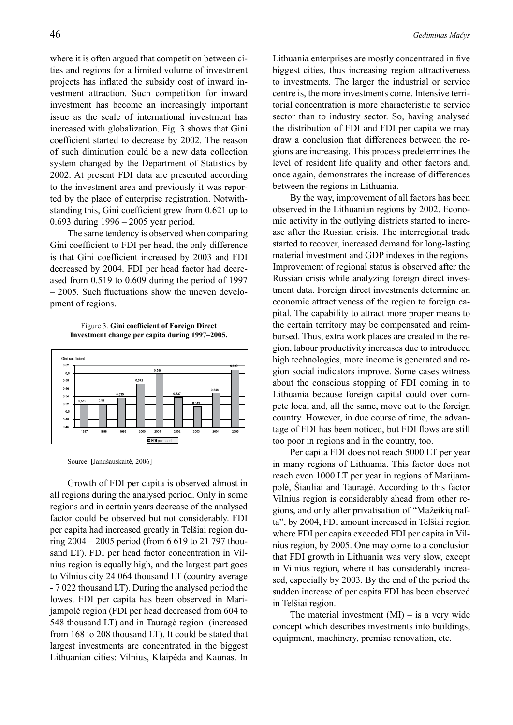where it is often argued that competition between cities and regions for a limited volume of investment projects has inflated the subsidy cost of inward investment attraction. Such competition for inward investment has become an increasingly important issue as the scale of international investment has increased with globalization. Fig. 3 shows that Gini coefficient started to decrease by 2002. The reason of such diminution could be a new data collection system changed by the Department of Statistics by 2002. At present FDI data are presented according to the investment area and previously it was reported by the place of enterprise registration. Notwithstanding this, Gini coefficient grew from 0.621 up to 0.693 during 1996 – 2005 year period.

The same tendency is observed when comparing Gini coefficient to FDI per head, the only difference is that Gini coefficient increased by 2003 and FDI decreased by 2004. FDI per head factor had decreased from 0.519 to 0.609 during the period of 1997 – 2005. Such fluctuations show the uneven development of regions.

Figure 3. **Gini coefficient of Foreign Direct Investment change per capita during 1997–2005.** 



Source: [Janušauskaitė, 2006]

Growth of FDI per capita is observed almost in all regions during the analysed period. Only in some regions and in certain years decrease of the analysed factor could be observed but not considerably. FDI per capita had increased greatly in Telšiai region during 2004 – 2005 period (from 6 619 to 21 797 thousand LT). FDI per head factor concentration in Vilnius region is equally high, and the largest part goes to Vilnius city 24 064 thousand LT (country average - 7 022 thousand LT). During the analysed period the lowest FDI per capita has been observed in Marijampolė region (FDI per head decreased from 604 to 548 thousand LT) and in Tauragė region (increased from 168 to 208 thousand LT). It could be stated that largest investments are concentrated in the biggest Lithuanian cities: Vilnius, Klaipėda and Kaunas. In Lithuania enterprises are mostly concentrated in five biggest cities, thus increasing region attractiveness to investments. The larger the industrial or service centre is, the more investments come. Intensive territorial concentration is more characteristic to service sector than to industry sector. So, having analysed the distribution of FDI and FDI per capita we may draw a conclusion that differences between the regions are increasing. This process predetermines the level of resident life quality and other factors and, once again, demonstrates the increase of differences between the regions in Lithuania.

By the way, improvement of all factors has been observed in the Lithuanian regions by 2002. Economic activity in the outlying districts started to increase after the Russian crisis. The interregional trade started to recover, increased demand for long-lasting material investment and GDP indexes in the regions. Improvement of regional status is observed after the Russian crisis while analyzing foreign direct investment data. Foreign direct investments determine an economic attractiveness of the region to foreign capital. The capability to attract more proper means to the certain territory may be compensated and reimbursed. Thus, extra work places are created in the region, labour productivity increases due to introduced high technologies, more income is generated and region social indicators improve. Some cases witness about the conscious stopping of FDI coming in to Lithuania because foreign capital could over compete local and, all the same, move out to the foreign country. However, in due course of time, the advantage of FDI has been noticed, but FDI flows are still too poor in regions and in the country, too.

Per capita FDI does not reach 5000 LT per year in many regions of Lithuania. This factor does not reach even 1000 LT per year in regions of Marijampolė, Šiauliai and Tauragė. According to this factor Vilnius region is considerably ahead from other regions, and only after privatisation of "Mažeikių nafta", by 2004, FDI amount increased in Telšiai region where FDI per capita exceeded FDI per capita in Vilnius region, by 2005. One may come to a conclusion that FDI growth in Lithuania was very slow, except in Vilnius region, where it has considerably increased, especially by 2003. By the end of the period the sudden increase of per capita FDI has been observed in Telšiai region.

The material investment  $(MI)$  – is a very wide concept which describes investments into buildings, equipment, machinery, premise renovation, etc.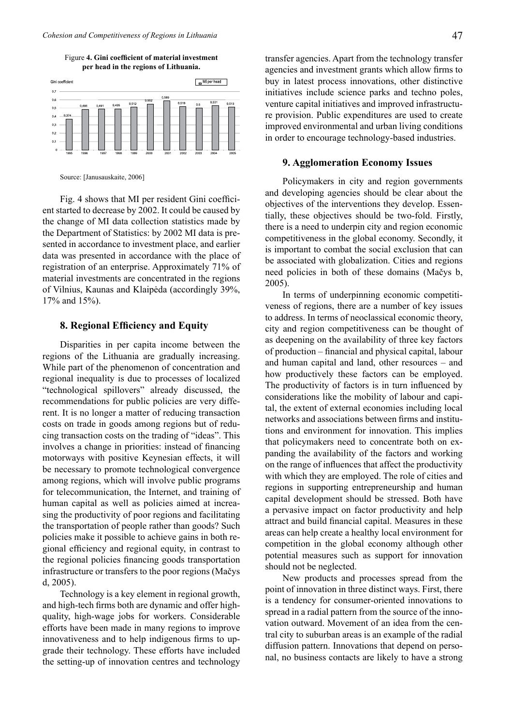Figure **4. Gini coefficient of material investment per head in the regions of Lithuania.**



Source: [Janusauskaite, 2006]

Fig. 4 shows that MI per resident Gini coefficient started to decrease by 2002. It could be caused by the change of MI data collection statistics made by the Department of Statistics: by 2002 MI data is presented in accordance to investment place, and earlier data was presented in accordance with the place of registration of an enterprise. Approximately 71% of material investments are concentrated in the regions of Vilnius, Kaunas and Klaipėda (accordingly 39%, 17% and 15%).

## **8. Regional Efficiency and Equity**

Disparities in per capita income between the regions of the Lithuania are gradually increasing. While part of the phenomenon of concentration and regional inequality is due to processes of localized "technological spillovers" already discussed, the recommendations for public policies are very different. It is no longer a matter of reducing transaction costs on trade in goods among regions but of reducing transaction costs on the trading of "ideas". This involves a change in priorities: instead of financing motorways with positive Keynesian effects, it will be necessary to promote technological convergence among regions, which will involve public programs for telecommunication, the Internet, and training of human capital as well as policies aimed at increasing the productivity of poor regions and facilitating the transportation of people rather than goods? Such policies make it possible to achieve gains in both regional efficiency and regional equity, in contrast to the regional policies financing goods transportation infrastructure or transfers to the poor regions (Mačys d, 2005).

Technology is a key element in regional growth, and high-tech firms both are dynamic and offer highquality, high-wage jobs for workers. Considerable efforts have been made in many regions to improve innovativeness and to help indigenous firms to upgrade their technology. These efforts have included the setting-up of innovation centres and technology transfer agencies. Apart from the technology transfer agencies and investment grants which allow firms to buy in latest process innovations, other distinctive initiatives include science parks and techno poles, venture capital initiatives and improved infrastructure provision. Public expenditures are used to create improved environmental and urban living conditions in order to encourage technology-based industries.

## **9. Agglomeration Economy Issues**

Policymakers in city and region governments and developing agencies should be clear about the objectives of the interventions they develop. Essentially, these objectives should be two-fold. Firstly, there is a need to underpin city and region economic competitiveness in the global economy. Secondly, it is important to combat the social exclusion that can be associated with globalization. Cities and regions need policies in both of these domains (Mačys b, 2005).

In terms of underpinning economic competitiveness of regions, there are a number of key issues to address. In terms of neoclassical economic theory, city and region competitiveness can be thought of as deepening on the availability of three key factors of production – financial and physical capital, labour and human capital and land, other resources – and how productively these factors can be employed. The productivity of factors is in turn influenced by considerations like the mobility of labour and capital, the extent of external economies including local networks and associations between firms and institutions and environment for innovation. This implies that policymakers need to concentrate both on expanding the availability of the factors and working on the range of influences that affect the productivity with which they are employed. The role of cities and regions in supporting entrepreneurship and human capital development should be stressed. Both have a pervasive impact on factor productivity and help attract and build financial capital. Measures in these areas can help create a healthy local environment for competition in the global economy although other potential measures such as support for innovation should not be neglected.

New products and processes spread from the point of innovation in three distinct ways. First, there is a tendency for consumer-oriented innovations to spread in a radial pattern from the source of the innovation outward. Movement of an idea from the central city to suburban areas is an example of the radial diffusion pattern. Innovations that depend on personal, no business contacts are likely to have a strong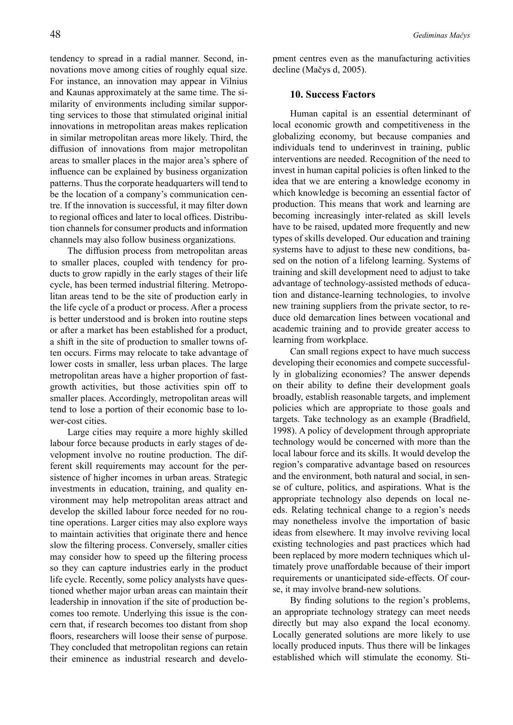tendency to spread in a radial manner. Second, innovations move among cities of roughly equal size. For instance, an innovation may appear in Vilnius and Kaunas approximately at the same time. The similarity of environments including similar supporting services to those that stimulated original initial innovations in metropolitan areas makes replication in similar metropolitan areas more likely. Third, the diffusion of innovations from major metropolitan areas to smaller places in the major area's sphere of influence can be explained by business organization patterns. Thus the corporate headquarters will tend to be the location of a company's communication centre. If the innovation is successful, it may filter down to regional offices and later to local offices. Distribution channels for consumer products and information channels may also follow business organizations.

The diffusion process from metropolitan areas to smaller places, coupled with tendency for products to grow rapidly in the early stages of their life cycle, has been termed industrial filtering. Metropolitan areas tend to be the site of production early in the life cycle of a product or process. After a process is better understood and is broken into routine steps or after a market has been established for a product, a shift in the site of production to smaller towns often occurs. Firms may relocate to take advantage of lower costs in smaller, less urban places. The large metropolitan areas have a higher proportion of fastgrowth activities, but those activities spin off to smaller places. Accordingly, metropolitan areas will tend to lose a portion of their economic base to lower-cost cities.

Large cities may require a more highly skilled labour force because products in early stages of development involve no routine production. The different skill requirements may account for the persistence of higher incomes in urban areas. Strategic investments in education, training, and quality environment may help metropolitan areas attract and develop the skilled labour force needed for no routine operations. Larger cities may also explore ways to maintain activities that originate there and hence slow the filtering process. Conversely, smaller cities may consider how to speed up the filtering process so they can capture industries early in the product life cycle. Recently, some policy analysts have questioned whether major urban areas can maintain their leadership in innovation if the site of production becomes too remote. Underlying this issue is the concern that, if research becomes too distant from shop floors, researchers will loose their sense of purpose. They concluded that metropolitan regions can retain their eminence as industrial research and development centres even as the manufacturing activities decline (Mačys d, 2005).

## **10. Success Factors**

Human capital is an essential determinant of local economic growth and competitiveness in the globalizing economy, but because companies and individuals tend to underinvest in training, public interventions are needed. Recognition of the need to invest in human capital policies is often linked to the idea that we are entering a knowledge economy in which knowledge is becoming an essential factor of production. This means that work and learning are becoming increasingly inter-related as skill levels have to be raised, updated more frequently and new types of skills developed. Our education and training systems have to adjust to these new conditions, based on the notion of a lifelong learning. Systems of training and skill development need to adjust to take advantage of technology-assisted methods of education and distance-learning technologies, to involve new training suppliers from the private sector, to reduce old demarcation lines between vocational and academic training and to provide greater access to learning from workplace.

Can small regions expect to have much success developing their economies and compete successfully in globalizing economies? The answer depends on their ability to define their development goals broadly, establish reasonable targets, and implement policies which are appropriate to those goals and targets. Take technology as an example (Bradfield, 1998). A policy of development through appropriate technology would be concerned with more than the local labour force and its skills. It would develop the region's comparative advantage based on resources and the environment, both natural and social, in sense of culture, politics, and aspirations. What is the appropriate technology also depends on local needs. Relating technical change to a region's needs may nonetheless involve the importation of basic ideas from elsewhere. It may involve reviving local existing technologies and past practices which had been replaced by more modern techniques which ultimately prove unaffordable because of their import requirements or unanticipated side-effects. Of course, it may involve brand-new solutions.

By finding solutions to the region's problems, an appropriate technology strategy can meet needs directly but may also expand the local economy. Locally generated solutions are more likely to use locally produced inputs. Thus there will be linkages established which will stimulate the economy. Sti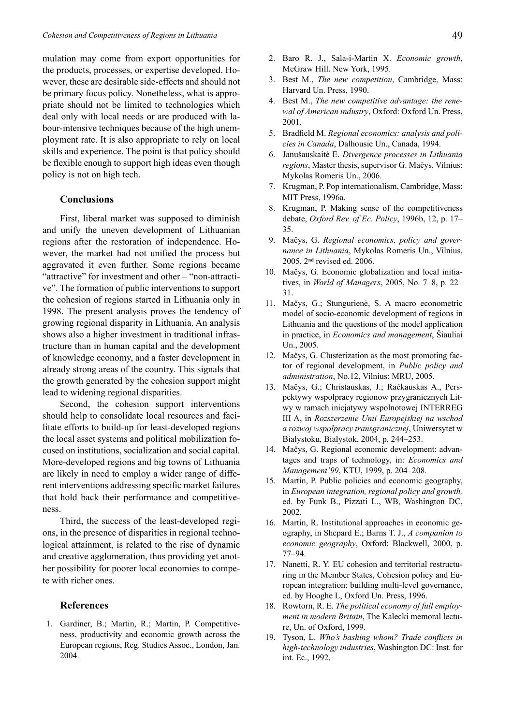mulation may come from export opportunities for the products, processes, or expertise developed. However, these are desirable side-effects and should not be primary focus policy. Nonetheless, what is appropriate should not be limited to technologies which deal only with local needs or are produced with labour-intensive techniques because of the high unemployment rate. It is also appropriate to rely on local skills and experience. The point is that policy should be flexible enough to support high ideas even though policy is not on high tech.

## **Conclusions**

First, liberal market was supposed to diminish and unify the uneven development of Lithuanian regions after the restoration of independence. However, the market had not unified the process but aggravated it even further. Some regions became "attractive" for investment and other – "non-attractive". The formation of public interventions to support the cohesion of regions started in Lithuania only in 1998. The present analysis proves the tendency of growing regional disparity in Lithuania. An analysis shows also a higher investment in traditional infrastructure than in human capital and the development of knowledge economy, and a faster development in already strong areas of the country. This signals that the growth generated by the cohesion support might lead to widening regional disparities.

Second, the cohesion support interventions should help to consolidate local resources and facilitate efforts to build-up for least-developed regions the local asset systems and political mobilization focused on institutions, socialization and social capital. More-developed regions and big towns of Lithuania are likely in need to employ a wider range of different interventions addressing specific market failures that hold back their performance and competitiveness.

Third, the success of the least-developed regions, in the presence of disparities in regional technological attainment, is related to the rise of dynamic and creative agglomeration, thus providing yet another possibility for poorer local economies to compete with richer ones.

### **References**

1. Gardiner, B.; Martin, R.; Martin, P. Competitiveness, productivity and economic growth across the European regions, Reg. Studies Assoc., London, Jan. 2004.

- 2. Baro R. J., Sala-i-Martin X. *Economic growth*, McGraw Hill. New York, 1995.
- 3. Best M., *The new competition*, Cambridge, Mass: Harvard Un. Press, 1990.
- 4. Best M., *The new competitive advantage: the renewal of American industry*, Oxford: Oxford Un. Press, 2001.
- 5. Bradfield M. *Regional economics: analysis and policies in Canada*, Dalhousie Un., Canada, 1994.
- 6. Janušauskaitė E. *Divergence processes in Lithuania regions*, Master thesis, supervisor G. Mačys. Vilnius: Mykolas Romeris Un., 2006.
- 7. Krugman, P. Pop internationalism, Cambridge, Mass: MIT Press, 1996a.
- 8. Krugman, P. Making sense of the competitiveness debate, *Oxford Rev. of Ec. Policy*, 1996b, 12, p. 17– 35.
- 9. Mačys, G. *Regional economics, policy and governance in Lithuania*, Mykolas Romeris Un., Vilnius, 2005, 2**nd** revised ed. 2006.
- 10. Mačys, G. Economic globalization and local initiatives, in *World of Managers*, 2005, No. 7–8, p. 22– 31.
- 11. Mačys, G.; Stungurienė, S. A macro econometric model of socio-economic development of regions in Lithuania and the questions of the model application in practice, in *Economics and management*, Šiauliai Un., 2005.
- 12. Mačys, G. Clusterization as the most promoting factor of regional development, in *Public policy and administration*, No.12, Vilnius: MRU, 2005.
- 13. Mačys, G.; Christauskas, J.; Račkauskas A., Perspektywy wspolpracy regionow przygranicznych Litwy w ramach inicjatywy wspolnotowej INTERREG III A, in *Rozszerzenie Unii Europejskiej na wschod a rozwoj wspolpracy transgranicznej*, Uniwersytet w Bialystoku, Bialystok, 2004, p. 244–253.
- 14. Mačys, G. Regional economic development: advantages and traps of technology, in: *Economics and Management'99*, KTU, 1999, p. 204–208.
- 15. Martin, P. Public policies and economic geography, in *European integration, regional policy and growth,*  ed. by Funk B., Pizzati L., WB, Washington DC, 2002.
- 16. Martin, R. Institutional approaches in economic geography, in Shepard E.; Barns T. J., *A companion to economic geography*, Oxford: Blackwell, 2000, p. 77–94.
- 17. Nanetti, R. Y. EU cohesion and territorial restructuring in the Member States, Cohesion policy and European integration: building multi-level governance, ed. by Hooghe L, Oxford Un. Press, 1996.
- 18. Rowtorn, R. E. *The political economy of full employment in modern Britain*, The Kalecki memoral lecture, Un. of Oxford, 1999.
- 19. Tyson, L. *Who's bashing whom? Trade conflicts in high-technology industries*, Washington DC: Inst. for int. Ec., 1992.